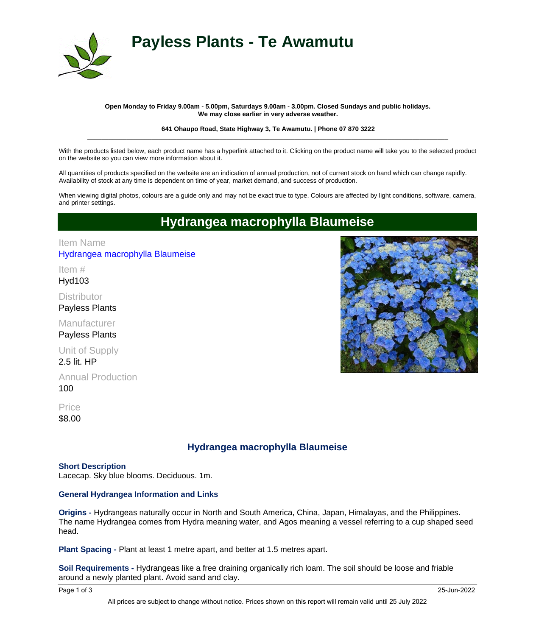

# **Payless Plants - Te Awamutu**

#### **Open Monday to Friday 9.00am - 5.00pm, Saturdays 9.00am - 3.00pm. Closed Sundays and public holidays. We may close earlier in very adverse weather.**

#### **641 Ohaupo Road, State Highway 3, Te Awamutu. | Phone 07 870 3222** \_\_\_\_\_\_\_\_\_\_\_\_\_\_\_\_\_\_\_\_\_\_\_\_\_\_\_\_\_\_\_\_\_\_\_\_\_\_\_\_\_\_\_\_\_\_\_\_\_\_\_\_\_\_\_\_\_\_\_\_\_\_\_\_\_\_\_\_\_\_\_\_\_\_\_\_\_\_\_\_\_\_\_\_\_\_\_\_\_\_\_\_\_\_\_\_\_\_\_\_\_

With the products listed below, each product name has a hyperlink attached to it. Clicking on the product name will take you to the selected product on the website so you can view more information about it.

All quantities of products specified on the website are an indication of annual production, not of current stock on hand which can change rapidly. Availability of stock at any time is dependent on time of year, market demand, and success of production.

When viewing digital photos, colours are a guide only and may not be exact true to type. Colours are affected by light conditions, software, camera, and printer settings.

## **Hydrangea macrophylla Blaumeise**

## [Hydrangea macrophylla Blaumeise](http://www.paylessplants.co.nz/shop/item.aspx?itemid=1564) Item Name

Hyd103 Item #

**Distributor** Payless Plants

Manufacturer Payless Plants

Unit of Supply

2.5 lit. HP

100 Annual Production

\$8.00 **Price** 

## **Hydrangea macrophylla Blaumeise**

### **Short Description**

Lacecap. Sky blue blooms. Deciduous. 1m.

### **General Hydrangea Information and Links**

**Origins -** Hydrangeas naturally occur in North and South America, China, Japan, Himalayas, and the Philippines. The name Hydrangea comes from Hydra meaning water, and Agos meaning a vessel referring to a cup shaped seed head.

**Plant Spacing -** Plant at least 1 metre apart, and better at 1.5 metres apart.

**Soil Requirements -** Hydrangeas like a free draining organically rich loam. The soil should be loose and friable around a newly planted plant. Avoid sand and clay.

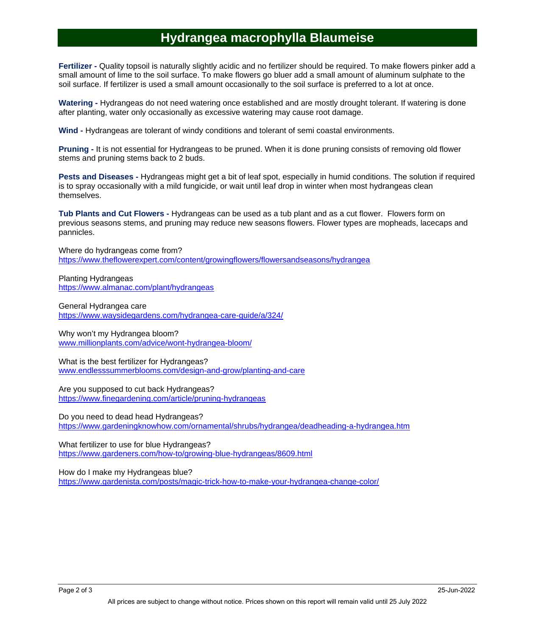## **Hydrangea macrophylla Blaumeise**

**Fertilizer -** Quality topsoil is naturally slightly acidic and no fertilizer should be required. To make flowers pinker add a small amount of lime to the soil surface. To make flowers go bluer add a small amount of aluminum sulphate to the soil surface. If fertilizer is used a small amount occasionally to the soil surface is preferred to a lot at once.

**Watering -** Hydrangeas do not need watering once established and are mostly drought tolerant. If watering is done after planting, water only occasionally as excessive watering may cause root damage.

**Wind -** Hydrangeas are tolerant of windy conditions and tolerant of semi coastal environments.

**Pruning -** It is not essential for Hydrangeas to be pruned. When it is done pruning consists of removing old flower stems and pruning stems back to 2 buds.

**Pests and Diseases -** Hydrangeas might get a bit of leaf spot, especially in humid conditions. The solution if required is to spray occasionally with a mild fungicide, or wait until leaf drop in winter when most hydrangeas clean themselves.

**Tub Plants and Cut Flowers -** Hydrangeas can be used as a tub plant and as a cut flower. Flowers form on previous seasons stems, and pruning may reduce new seasons flowers. Flower types are mopheads, lacecaps and pannicles.

Where do hydrangeas come from? https://www.theflowerexpert.com/content/growingflowers/flowersandseasons/hydrangea

Planting Hydrangeas https://www.almanac.com/plant/hydrangeas

General Hydrangea care https://www.waysidegardens.com/hydrangea-care-guide/a/324/

Why won't my Hydrangea bloom? www.millionplants.com/advice/wont-hydrangea-bloom/

What is the best fertilizer for Hydrangeas? www.endlesssummerblooms.com/design-and-grow/planting-and-care

Are you supposed to cut back Hydrangeas? https://www.finegardening.com/article/pruning-hydrangeas

Do you need to dead head Hydrangeas? https://www.gardeningknowhow.com/ornamental/shrubs/hydrangea/deadheading-a-hydrangea.htm

What fertilizer to use for blue Hydrangeas? https://www.gardeners.com/how-to/growing-blue-hydrangeas/8609.html

How do I make my Hydrangeas blue? https://www.gardenista.com/posts/magic-trick-how-to-make-your-hydrangea-change-color/